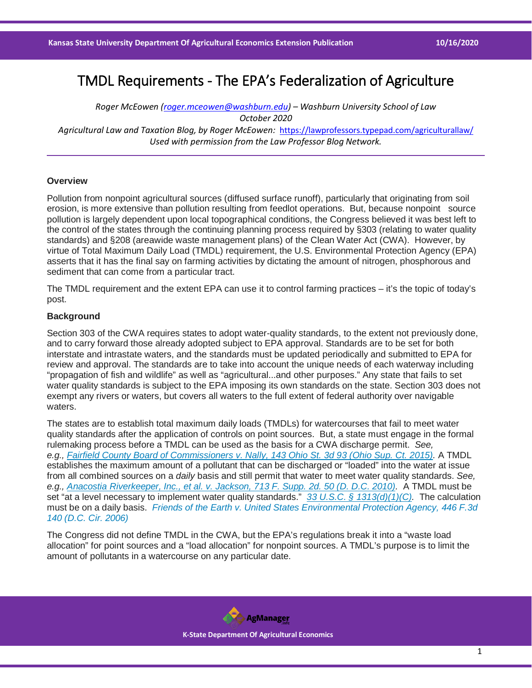# TMDL Requirements - The EPA's Federalization of Agriculture

*Roger McEowen [\(roger.mceowen@washburn.edu\)](mailto:roger.mceowen@washburn.edu) – Washburn University School of Law October 2020 Agricultural Law and Taxation Blog, by Roger McEowen:* <https://lawprofessors.typepad.com/agriculturallaw/> *Used with permission from the Law Professor Blog Network.* 

## **Overview**

Pollution from nonpoint agricultural sources (diffused surface runoff), particularly that originating from soil erosion, is more extensive than pollution resulting from feedlot operations. But, because nonpoint source pollution is largely dependent upon local topographical conditions, the Congress believed it was best left to the control of the states through the continuing planning process required by §303 (relating to water quality standards) and §208 (areawide waste management plans) of the Clean Water Act (CWA). However, by virtue of Total Maximum Daily Load (TMDL) requirement, the U.S. Environmental Protection Agency (EPA) asserts that it has the final say on farming activities by dictating the amount of nitrogen, phosphorous and sediment that can come from a particular tract.

The TMDL requirement and the extent EPA can use it to control farming practices – it's the topic of today's post.

# **Background**

Section 303 of the CWA requires states to adopt water-quality standards, to the extent not previously done, and to carry forward those already adopted subject to EPA approval. Standards are to be set for both interstate and intrastate waters, and the standards must be updated periodically and submitted to EPA for review and approval. The standards are to take into account the unique needs of each waterway including "propagation of fish and wildlife" as well as "agricultural...and other purposes." Any state that fails to set water quality standards is subject to the EPA imposing its own standards on the state. Section 303 does not exempt any rivers or waters, but covers all waters to the full extent of federal authority over navigable waters.

The states are to establish total maximum daily loads (TMDLs) for watercourses that fail to meet water quality standards after the application of controls on point sources. But, a state must engage in the formal rulemaking process before a TMDL can be used as the basis for a CWA discharge permit. *See, e.g., [Fairfield County Board of Commissioners v. Nally, 143 Ohio St. 3d 93 \(Ohio Sup. Ct. 2015\).](https://casetext.com/case/fairfield-cnty-bd-of-commrs-v-nally-2?ref=ArRBZs!0I8RcY)* A TMDL establishes the maximum amount of a pollutant that can be discharged or "loaded" into the water at issue from all combined sources on a *daily* basis and still permit that water to meet water quality standards. *See, e.g., [Anacostia Riverkeeper, Inc., et al. v. Jackson, 713 F. Supp. 2d. 50 \(D. D.C. 2010\).](https://casetext.com/case/anacostia-riverkeeper-2?ref=ArRBZs!XJySpE)* A TMDL must be set "at a level necessary to implement water quality standards." *[33 U.S.C. § 1313\(d\)\(1\)\(C\).](https://casetext.com/statute/united-states-code/title-33-navigation-and-navigable-waters/chapter-26-water-pollution-prevention-and-control/subchapter-iii-standards-and-enforcement/section-1313-water-quality-standards-and-implementation-plans?ref=ArRBZs!AQSxUs)* The calculation must be on a daily basis. *[Friends of the Earth v. United States Environmental Protection Agency, 446 F.3d](https://casetext.com/case/friends-of-earth-inc-v-epa?ref=ArRBZs!aUhV7D)  [140 \(D.C. Cir. 2006\)](https://casetext.com/case/friends-of-earth-inc-v-epa?ref=ArRBZs!aUhV7D)*

The Congress did not define TMDL in the CWA, but the EPA's regulations break it into a "waste load allocation" for point sources and a "load allocation" for nonpoint sources. A TMDL's purpose is to limit the amount of pollutants in a watercourse on any particular date.

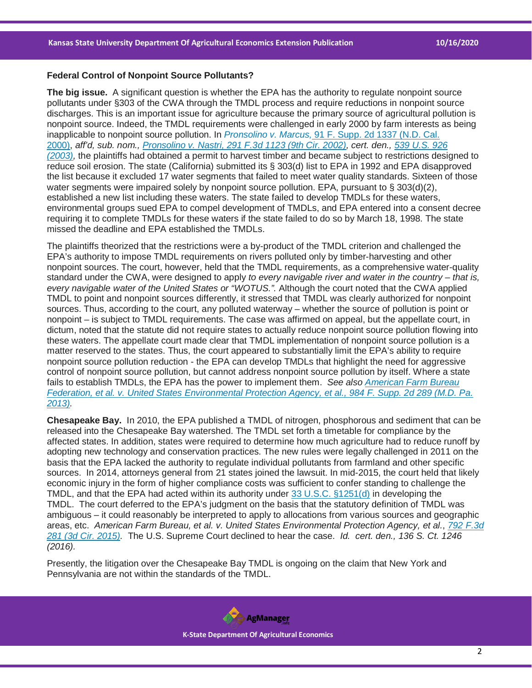#### **Federal Control of Nonpoint Source Pollutants?**

**The big issue.** A significant question is whether the EPA has the authority to regulate nonpoint source pollutants under §303 of the CWA through the TMDL process and require reductions in nonpoint source discharges. This is an important issue for agriculture because the primary source of agricultural pollution is nonpoint source. Indeed, the TMDL requirements were challenged in early 2000 by farm interests as being inapplicable to nonpoint source pollution. In *Pronsolino v. Marcus,* [91 F. Supp. 2d 1337 \(N.D. Cal.](https://casetext.com/case/pronsolino-v-marcus?ref=ArRBZs!wElkca)  [2000\),](https://casetext.com/case/pronsolino-v-marcus?ref=ArRBZs!wElkca) *aff'd, sub. nom., [Pronsolino v. Nastri, 291 F.3d 1123 \(9th Cir. 2002\),](https://casetext.com/case/pronsolino-v-nastri?ref=ArRBZs!LChxvq) cert. den., [539 U.S. 926](https://casetext.com/case/certiorari-denied-203?ref=ArRBZs!QR-juJ)  [\(2003\),](https://casetext.com/case/certiorari-denied-203?ref=ArRBZs!QR-juJ)* the plaintiffs had obtained a permit to harvest timber and became subject to restrictions designed to reduce soil erosion. The state (California) submitted its § 303(d) list to EPA in 1992 and EPA disapproved the list because it excluded 17 water segments that failed to meet water quality standards. Sixteen of those water segments were impaired solely by nonpoint source pollution. EPA, pursuant to § 303(d)(2), established a new list including these waters. The state failed to develop TMDLs for these waters, environmental groups sued EPA to compel development of TMDLs, and EPA entered into a consent decree requiring it to complete TMDLs for these waters if the state failed to do so by March 18, 1998. The state missed the deadline and EPA established the TMDLs.

The plaintiffs theorized that the restrictions were a by-product of the TMDL criterion and challenged the EPA's authority to impose TMDL requirements on rivers polluted only by timber-harvesting and other nonpoint sources. The court, however, held that the TMDL requirements, as a comprehensive water-quality standard under the CWA, were designed to apply *to every navigable river and water in the country – that is, every navigable water of the United States or "WOTUS.".* Although the court noted that the CWA applied TMDL to point and nonpoint sources differently, it stressed that TMDL was clearly authorized for nonpoint sources. Thus, according to the court, any polluted waterway – whether the source of pollution is point or nonpoint – is subject to TMDL requirements. The case was affirmed on appeal, but the appellate court, in dictum, noted that the statute did not require states to actually reduce nonpoint source pollution flowing into these waters. The appellate court made clear that TMDL implementation of nonpoint source pollution is a matter reserved to the states. Thus, the court appeared to substantially limit the EPA's ability to require nonpoint source pollution reduction - the EPA can develop TMDLs that highlight the need for aggressive control of nonpoint source pollution, but cannot address nonpoint source pollution by itself. Where a state fails to establish TMDLs, the EPA has the power to implement them. *See also [American Farm Bureau](https://casetext.com/case/am-farm-bureau-fedn-v-us-envtl-prot-agency-1?ref=ArRBZs!iZLaBJ)  [Federation, et al. v. United States Environmental Protection Agency, et al., 984 F. Supp. 2d 289 \(M.D. Pa.](https://casetext.com/case/am-farm-bureau-fedn-v-us-envtl-prot-agency-1?ref=ArRBZs!iZLaBJ)  [2013\).](https://casetext.com/case/am-farm-bureau-fedn-v-us-envtl-prot-agency-1?ref=ArRBZs!iZLaBJ)*

**Chesapeake Bay.** In 2010, the EPA published a TMDL of nitrogen, phosphorous and sediment that can be released into the Chesapeake Bay watershed. The TMDL set forth a timetable for compliance by the affected states. In addition, states were required to determine how much agriculture had to reduce runoff by adopting new technology and conservation practices. The new rules were legally challenged in 2011 on the basis that the EPA lacked the authority to regulate individual pollutants from farmland and other specific sources. In 2014, attorneys general from 21 states joined the lawsuit. In mid-2015, the court held that likely economic injury in the form of higher compliance costs was sufficient to confer standing to challenge the TMDL, and that the EPA had acted within its authority under [33 U.S.C. §1251\(d\)](https://casetext.com/statute/united-states-code/title-33-navigation-and-navigable-waters/chapter-26-water-pollution-prevention-and-control/subchapter-i-research-and-related-programs/section-1251-congressional-declaration-of-goals-and-policy?ref=ArRBZs!iplQEU) in developing the TMDL. The court deferred to the EPA's judgment on the basis that the statutory definition of TMDL was ambiguous – it could reasonably be interpreted to apply to allocations from various sources and geographic areas, etc. *American Farm Bureau, et al. v. United States Environmental Protection Agency, et al.*, *[792 F.3d](https://casetext.com/case/am-farm-bureau-fedn-v-us-envtl-prot-agency-4?ref=ArRBZs!VG2xFZ)  [281 \(3d Cir. 2015\).](https://casetext.com/case/am-farm-bureau-fedn-v-us-envtl-prot-agency-4?ref=ArRBZs!VG2xFZ)* The U.S. Supreme Court declined to hear the case. *Id. cert. den., 136 S. Ct. 1246 (2016).*

Presently, the litigation over the Chesapeake Bay TMDL is ongoing on the claim that New York and Pennsylvania are not within the standards of the TMDL.